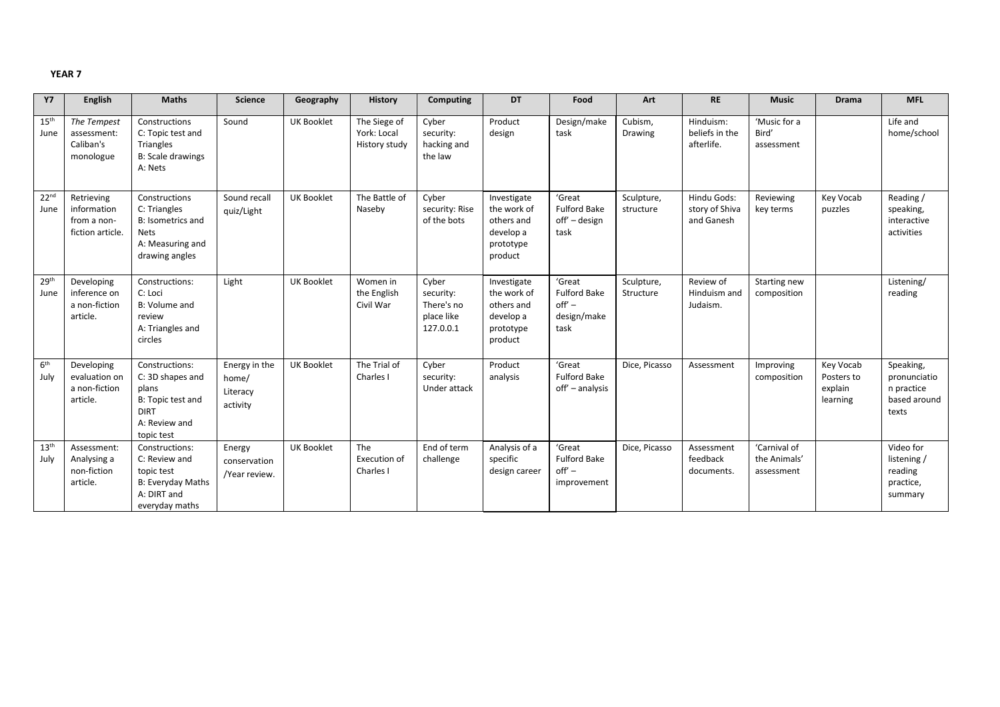| <b>Y7</b>                | English                                                      | <b>Maths</b>                                                                                                   | <b>Science</b>                                 | Geography         | <b>History</b>                               | Computing                                                   | DT                                                                            | Food                                                             | Art                     | <b>RE</b>                                   | <b>Music</b>                               | <b>Drama</b>                                   | <b>MFL</b>                                                       |
|--------------------------|--------------------------------------------------------------|----------------------------------------------------------------------------------------------------------------|------------------------------------------------|-------------------|----------------------------------------------|-------------------------------------------------------------|-------------------------------------------------------------------------------|------------------------------------------------------------------|-------------------------|---------------------------------------------|--------------------------------------------|------------------------------------------------|------------------------------------------------------------------|
| 15 <sup>th</sup><br>June | The Tempest<br>assessment:<br>Caliban's<br>monologue         | Constructions<br>C: Topic test and<br><b>Triangles</b><br><b>B: Scale drawings</b><br>A: Nets                  | Sound                                          | <b>UK Booklet</b> | The Siege of<br>York: Local<br>History study | Cyber<br>security:<br>hacking and<br>the law                | Product<br>design                                                             | Design/make<br>task                                              | Cubism,<br>Drawing      | Hinduism:<br>beliefs in the<br>afterlife.   | 'Music for a<br>Bird'<br>assessment        |                                                | Life and<br>home/school                                          |
| 22 <sup>nd</sup><br>June | Retrieving<br>information<br>from a non-<br>fiction article. | Constructions<br>C: Triangles<br><b>B: Isometrics and</b><br><b>Nets</b><br>A: Measuring and<br>drawing angles | Sound recall<br>quiz/Light                     | <b>UK Booklet</b> | The Battle of<br>Naseby                      | Cyber<br>security: Rise<br>of the bots                      | Investigate<br>the work of<br>others and<br>develop a<br>prototype<br>product | 'Great<br><b>Fulford Bake</b><br>off' – design<br>task           | Sculpture,<br>structure | Hindu Gods:<br>story of Shiva<br>and Ganesh | Reviewing<br>key terms                     | Key Vocab<br>puzzles                           | Reading /<br>speaking,<br>interactive<br>activities              |
| 29 <sup>th</sup><br>June | Developing<br>inference on<br>a non-fiction<br>article.      | Constructions:<br>C: Loci<br>B: Volume and<br>review<br>A: Triangles and<br>circles                            | Light                                          | <b>UK Booklet</b> | Women in<br>the English<br>Civil War         | Cyber<br>security:<br>There's no<br>place like<br>127.0.0.1 | Investigate<br>the work of<br>others and<br>develop a<br>prototype<br>product | 'Great<br><b>Fulford Bake</b><br>$off' -$<br>design/make<br>task | Sculpture,<br>Structure | Review of<br>Hinduism and<br>Judaism.       | Starting new<br>composition                |                                                | Listening/<br>reading                                            |
| 6 <sup>th</sup><br>July  | Developing<br>evaluation on<br>a non-fiction<br>article.     | Constructions:<br>C: 3D shapes and<br>plans<br>B: Topic test and<br><b>DIRT</b><br>A: Review and<br>topic test | Energy in the<br>home/<br>Literacy<br>activity | <b>UK Booklet</b> | The Trial of<br>Charles I                    | Cyber<br>security:<br>Under attack                          | Product<br>analysis                                                           | 'Great<br><b>Fulford Bake</b><br>off' - analysis                 | Dice, Picasso           | Assessment                                  | Improving<br>composition                   | Key Vocab<br>Posters to<br>explain<br>learning | Speaking,<br>pronunciatio<br>n practice<br>based around<br>texts |
| 13 <sup>th</sup><br>July | Assessment:<br>Analysing a<br>non-fiction<br>article.        | Constructions:<br>C: Review and<br>topic test<br><b>B: Everyday Maths</b><br>A: DIRT and<br>everyday maths     | Energy<br>conservation<br>/Year review.        | <b>UK Booklet</b> | The<br>Execution of<br>Charles I             | End of term<br>challenge                                    | Analysis of a<br>specific<br>design career                                    | 'Great<br><b>Fulford Bake</b><br>$off' -$<br>improvement         | Dice, Picasso           | Assessment<br>feedback<br>documents.        | 'Carnival of<br>the Animals'<br>assessment |                                                | Video for<br>listening /<br>reading<br>practice,<br>summary      |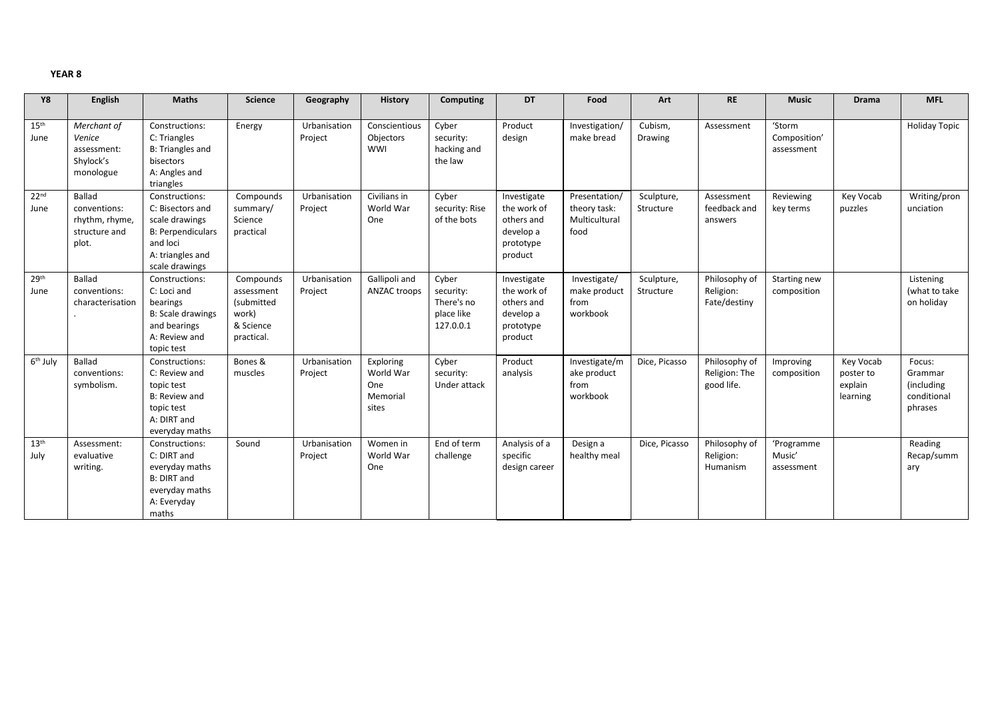| <b>Y8</b>                | English                                                            | <b>Maths</b>                                                                                                                       | <b>Science</b>                                                            | Geography               | History                                            | <b>Computing</b>                                            | <b>DT</b>                                                                     | Food                                                   | Art                     | <b>RE</b>                                    | <b>Music</b>                         | <b>Drama</b>                                  | <b>MFL</b>                                                |
|--------------------------|--------------------------------------------------------------------|------------------------------------------------------------------------------------------------------------------------------------|---------------------------------------------------------------------------|-------------------------|----------------------------------------------------|-------------------------------------------------------------|-------------------------------------------------------------------------------|--------------------------------------------------------|-------------------------|----------------------------------------------|--------------------------------------|-----------------------------------------------|-----------------------------------------------------------|
| 15 <sup>th</sup><br>June | Merchant of<br>Venice<br>assessment:<br>Shylock's<br>monologue     | Constructions:<br>C: Triangles<br>B: Triangles and<br>bisectors<br>A: Angles and<br>triangles                                      | Energy                                                                    | Urbanisation<br>Project | Conscientious<br>Objectors<br>WWI                  | Cyber<br>security:<br>hacking and<br>the law                | Product<br>design                                                             | Investigation/<br>make bread                           | Cubism,<br>Drawing      | Assessment                                   | 'Storm<br>Composition'<br>assessment |                                               | <b>Holiday Topic</b>                                      |
| 22 <sup>nd</sup><br>June | Ballad<br>conventions:<br>rhythm, rhyme,<br>structure and<br>plot. | Constructions:<br>C: Bisectors and<br>scale drawings<br><b>B: Perpendiculars</b><br>and loci<br>A: triangles and<br>scale drawings | Compounds<br>summary/<br>Science<br>practical                             | Urbanisation<br>Project | Civilians in<br>World War<br>One                   | Cyber<br>security: Rise<br>of the bots                      | Investigate<br>the work of<br>others and<br>develop a<br>prototype<br>product | Presentation/<br>theory task:<br>Multicultural<br>food | Sculpture,<br>Structure | Assessment<br>feedback and<br>answers        | Reviewing<br>key terms               | Key Vocab<br>puzzles                          | Writing/pron<br>unciation                                 |
| 29 <sup>th</sup><br>June | Ballad<br>conventions:<br>characterisation                         | Constructions:<br>C: Loci and<br>bearings<br><b>B: Scale drawings</b><br>and bearings<br>A: Review and<br>topic test               | Compounds<br>assessment<br>(submitted<br>work)<br>& Science<br>practical. | Urbanisation<br>Project | Gallipoli and<br>ANZAC troops                      | Cyber<br>security:<br>There's no<br>place like<br>127.0.0.1 | Investigate<br>the work of<br>others and<br>develop a<br>prototype<br>product | Investigate/<br>make product<br>from<br>workbook       | Sculpture,<br>Structure | Philosophy of<br>Religion:<br>Fate/destiny   | Starting new<br>composition          |                                               | Listening<br>(what to take<br>on holiday                  |
| 6 <sup>th</sup> July     | Ballad<br>conventions:<br>symbolism.                               | Constructions:<br>C: Review and<br>topic test<br>B: Review and<br>topic test<br>A: DIRT and<br>everyday maths                      | Bones &<br>muscles                                                        | Urbanisation<br>Project | Exploring<br>World War<br>One<br>Memorial<br>sites | Cyber<br>security:<br>Under attack                          | Product<br>analysis                                                           | Investigate/m<br>ake product<br>from<br>workbook       | Dice, Picasso           | Philosophy of<br>Religion: The<br>good life. | Improving<br>composition             | Key Vocab<br>poster to<br>explain<br>learning | Focus:<br>Grammar<br>(including<br>conditional<br>phrases |
| 13 <sup>th</sup><br>July | Assessment:<br>evaluative<br>writing.                              | Constructions:<br>C: DIRT and<br>everyday maths<br><b>B: DIRT and</b><br>everyday maths<br>A: Everyday<br>maths                    | Sound                                                                     | Urbanisation<br>Project | Women in<br>World War<br>One                       | End of term<br>challenge                                    | Analysis of a<br>specific<br>design career                                    | Design a<br>healthy meal                               | Dice, Picasso           | Philosophy of<br>Religion:<br>Humanism       | 'Programme<br>Music'<br>assessment   |                                               | Reading<br>Recap/summ<br>ary                              |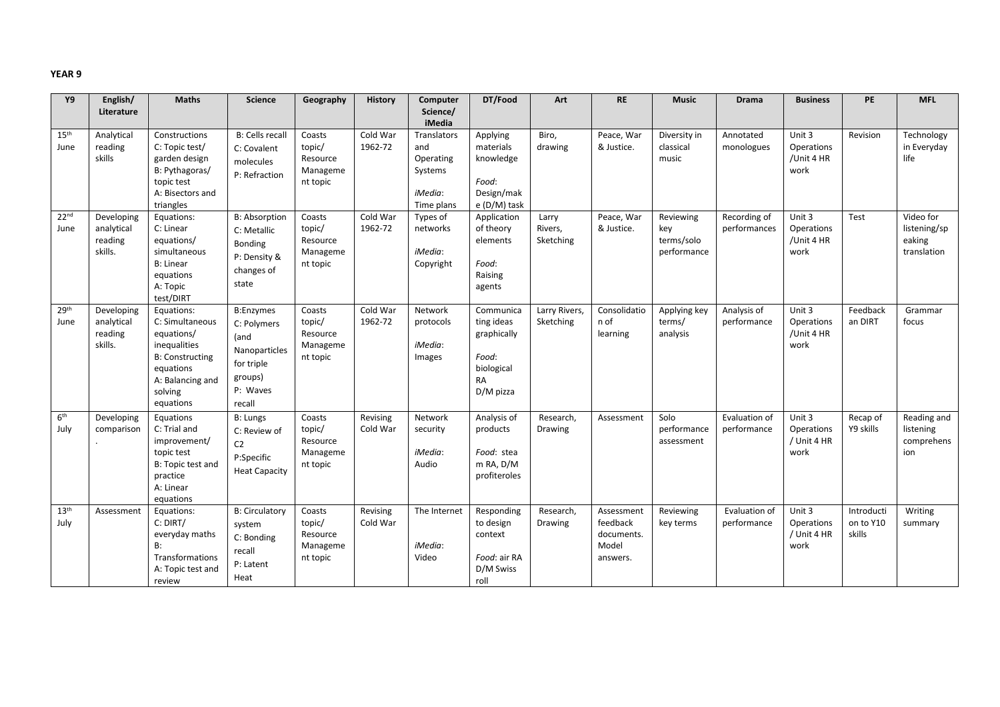| Υ9                       | English/                                       | <b>Maths</b>                                                                                                                                   | <b>Science</b>                                                                                          | Geography                                            | <b>History</b>       | Computer                                                                   | DT/Food                                                                                 | Art                           | <b>RE</b>                                                 | <b>Music</b>                                  | <b>Drama</b>                 | <b>Business</b>                             | <b>PE</b>                         | <b>MFL</b>                                         |
|--------------------------|------------------------------------------------|------------------------------------------------------------------------------------------------------------------------------------------------|---------------------------------------------------------------------------------------------------------|------------------------------------------------------|----------------------|----------------------------------------------------------------------------|-----------------------------------------------------------------------------------------|-------------------------------|-----------------------------------------------------------|-----------------------------------------------|------------------------------|---------------------------------------------|-----------------------------------|----------------------------------------------------|
|                          | Literature                                     |                                                                                                                                                |                                                                                                         |                                                      |                      | Science/<br>iMedia                                                         |                                                                                         |                               |                                                           |                                               |                              |                                             |                                   |                                                    |
| 15 <sup>th</sup><br>June | Analytical<br>reading<br>skills                | Constructions<br>C: Topic test/<br>garden design<br>B: Pythagoras/<br>topic test<br>A: Bisectors and<br>triangles                              | <b>B: Cells recall</b><br>C: Covalent<br>molecules<br>P: Refraction                                     | Coasts<br>topic/<br>Resource<br>Manageme<br>nt topic | Cold War<br>1962-72  | <b>Translators</b><br>and<br>Operating<br>Systems<br>iMedia:<br>Time plans | Applying<br>materials<br>knowledge<br>Food:<br>Design/mak<br>e (D/M) task               | Biro,<br>drawing              | Peace, War<br>& Justice.                                  | Diversity in<br>classical<br>music            | Annotated<br>monologues      | Unit 3<br>Operations<br>/Unit 4 HR<br>work  | Revision                          | Technology<br>in Everyday<br>life                  |
| 22 <sup>nd</sup><br>June | Developing<br>analytical<br>reading<br>skills. | Equations:<br>C: Linear<br>equations/<br>simultaneous<br><b>B: Linear</b><br>equations<br>A: Topic<br>test/DIRT                                | <b>B: Absorption</b><br>C: Metallic<br>Bonding<br>P: Density &<br>changes of<br>state                   | Coasts<br>topic/<br>Resource<br>Manageme<br>nt topic | Cold War<br>1962-72  | Types of<br>networks<br>iMedia:<br>Copyright                               | Application<br>of theory<br>elements<br>Food:<br>Raising<br>agents                      | Larry<br>Rivers,<br>Sketching | Peace, War<br>& Justice.                                  | Reviewing<br>key<br>terms/solo<br>performance | Recording of<br>performances | Unit 3<br>Operations<br>/Unit 4 HR<br>work  | Test                              | Video for<br>listening/sp<br>eaking<br>translation |
| 29 <sup>th</sup><br>June | Developing<br>analytical<br>reading<br>skills. | Equations:<br>C: Simultaneous<br>equations/<br>inequalities<br><b>B: Constructing</b><br>equations<br>A: Balancing and<br>solving<br>equations | <b>B:Enzymes</b><br>C: Polymers<br>(and<br>Nanoparticles<br>for triple<br>groups)<br>P: Waves<br>recall | Coasts<br>topic/<br>Resource<br>Manageme<br>nt topic | Cold War<br>1962-72  | Network<br>protocols<br>iMedia:<br>Images                                  | Communica<br>ting ideas<br>graphically<br>Food:<br>biological<br><b>RA</b><br>D/M pizza | Larry Rivers,<br>Sketching    | Consolidatio<br>n of<br>learning                          | Applying key<br>terms/<br>analysis            | Analysis of<br>performance   | Unit 3<br>Operations<br>/Unit 4 HR<br>work  | Feedback<br>an DIRT               | Grammar<br>focus                                   |
| 6 <sup>th</sup><br>July  | Developing<br>comparison                       | Equations<br>C: Trial and<br>improvement/<br>topic test<br>B: Topic test and<br>practice<br>A: Linear<br>equations                             | B: Lungs<br>C: Review of<br>C <sub>2</sub><br>P:Specific<br><b>Heat Capacity</b>                        | Coasts<br>topic/<br>Resource<br>Manageme<br>nt topic | Revising<br>Cold War | Network<br>security<br>iMedia:<br>Audio                                    | Analysis of<br>products<br>Food: stea<br>m RA, D/M<br>profiteroles                      | Research,<br>Drawing          | Assessment                                                | Solo<br>performance<br>assessment             | Evaluation of<br>performance | Unit 3<br>Operations<br>/ Unit 4 HR<br>work | Recap of<br>Y9 skills             | Reading and<br>listening<br>comprehens<br>ion      |
| 13 <sup>th</sup><br>July | Assessment                                     | Equations:<br>C: DIRT/<br>everyday maths<br>B:<br>Transformations<br>A: Topic test and<br>review                                               | <b>B: Circulatory</b><br>system<br>C: Bonding<br>recall<br>P: Latent<br>Heat                            | Coasts<br>topic/<br>Resource<br>Manageme<br>nt topic | Revising<br>Cold War | The Internet<br>iMedia:<br>Video                                           | Responding<br>to design<br>context<br>Food: air RA<br>D/M Swiss<br>roll                 | Research,<br>Drawing          | Assessment<br>feedback<br>documents.<br>Model<br>answers. | Reviewing<br>key terms                        | Evaluation of<br>performance | Unit 3<br>Operations<br>/ Unit 4 HR<br>work | Introducti<br>on to Y10<br>skills | Writing<br>summary                                 |